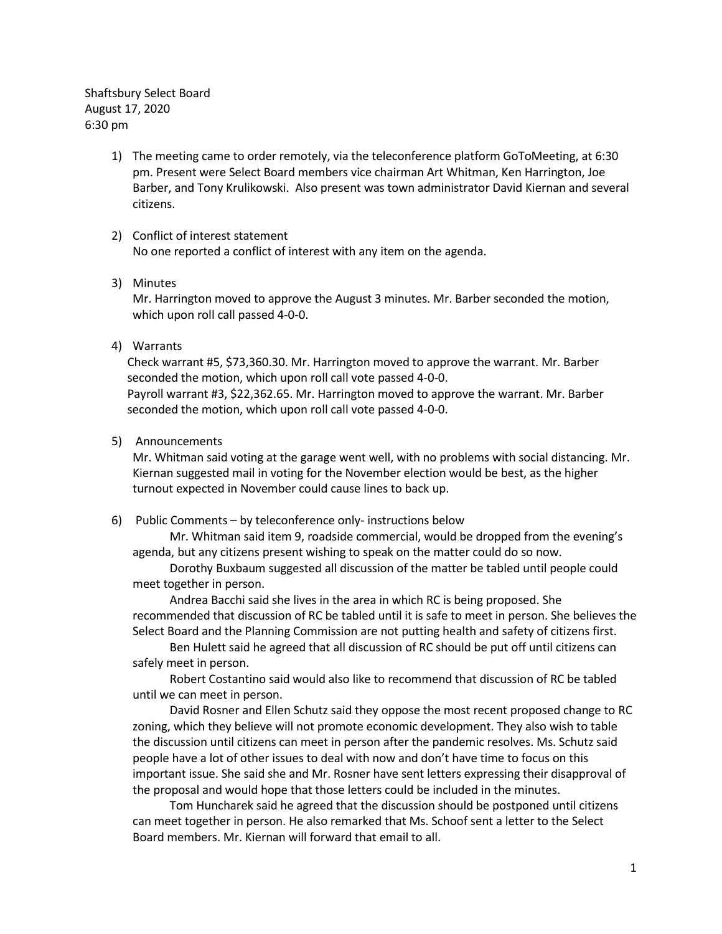Shaftsbury Select Board August 17, 2020 6:30 pm

> 1) The meeting came to order remotely, via the teleconference platform GoToMeeting, at 6:30 pm. Present were Select Board members vice chairman Art Whitman, Ken Harrington, Joe Barber, and Tony Krulikowski. Also present was town administrator David Kiernan and several citizens.

## 2) Conflict of interest statement No one reported a conflict of interest with any item on the agenda.

## 3) Minutes

Mr. Harrington moved to approve the August 3 minutes. Mr. Barber seconded the motion, which upon roll call passed 4-0-0.

4) Warrants

Check warrant #5, \$73,360.30. Mr. Harrington moved to approve the warrant. Mr. Barber seconded the motion, which upon roll call vote passed 4-0-0. Payroll warrant #3, \$22,362.65. Mr. Harrington moved to approve the warrant. Mr. Barber seconded the motion, which upon roll call vote passed 4-0-0.

5) Announcements

Mr. Whitman said voting at the garage went well, with no problems with social distancing. Mr. Kiernan suggested mail in voting for the November election would be best, as the higher turnout expected in November could cause lines to back up.

6) Public Comments – by teleconference only- instructions below

Mr. Whitman said item 9, roadside commercial, would be dropped from the evening's agenda, but any citizens present wishing to speak on the matter could do so now.

Dorothy Buxbaum suggested all discussion of the matter be tabled until people could meet together in person.

Andrea Bacchi said she lives in the area in which RC is being proposed. She recommended that discussion of RC be tabled until it is safe to meet in person. She believes the Select Board and the Planning Commission are not putting health and safety of citizens first.

Ben Hulett said he agreed that all discussion of RC should be put off until citizens can safely meet in person.

Robert Costantino said would also like to recommend that discussion of RC be tabled until we can meet in person.

David Rosner and Ellen Schutz said they oppose the most recent proposed change to RC zoning, which they believe will not promote economic development. They also wish to table the discussion until citizens can meet in person after the pandemic resolves. Ms. Schutz said people have a lot of other issues to deal with now and don't have time to focus on this important issue. She said she and Mr. Rosner have sent letters expressing their disapproval of the proposal and would hope that those letters could be included in the minutes.

Tom Huncharek said he agreed that the discussion should be postponed until citizens can meet together in person. He also remarked that Ms. Schoof sent a letter to the Select Board members. Mr. Kiernan will forward that email to all.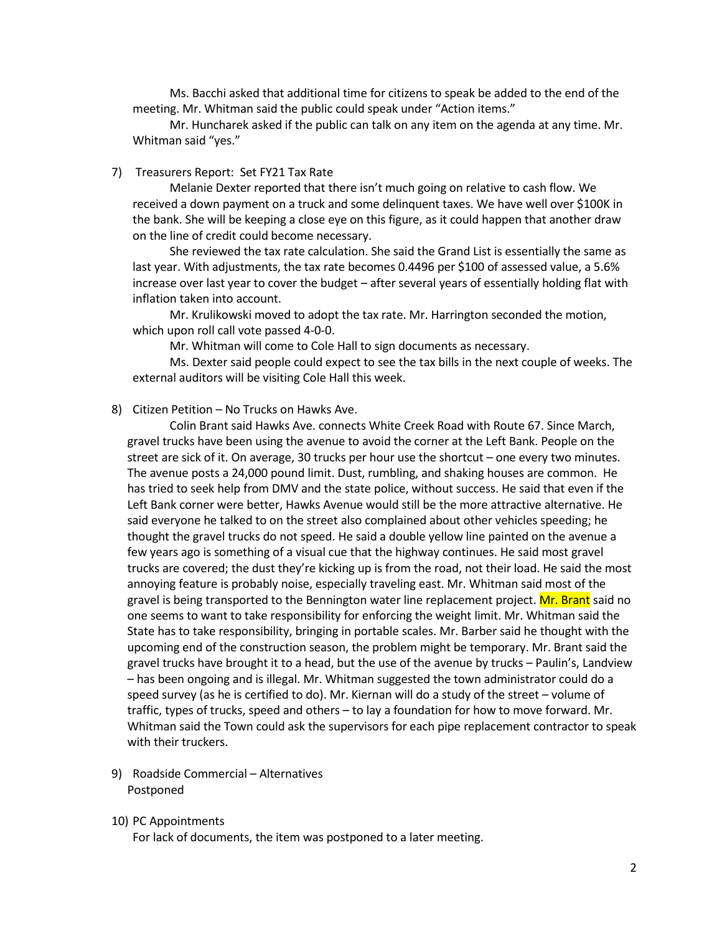Ms. Bacchi asked that additional time for citizens to speak be added to the end of the meeting. Mr. Whitman said the public could speak under "Action items."

Mr. Huncharek asked if the public can talk on any item on the agenda at any time. Mr. Whitman said "yes."

#### 7) Treasurers Report: Set FY21 Tax Rate

Melanie Dexter reported that there isn't much going on relative to cash flow. We received a down payment on a truck and some delinquent taxes. We have well over \$100K in the bank. She will be keeping a close eye on this figure, as it could happen that another draw on the line of credit could become necessary.

She reviewed the tax rate calculation. She said the Grand List is essentially the same as last year. With adjustments, the tax rate becomes 0.4496 per \$100 of assessed value, a 5.6% increase over last year to cover the budget – after several years of essentially holding flat with inflation taken into account.

Mr. Krulikowski moved to adopt the tax rate. Mr. Harrington seconded the motion, which upon roll call vote passed 4-0-0.

Mr. Whitman will come to Cole Hall to sign documents as necessary.

Ms. Dexter said people could expect to see the tax bills in the next couple of weeks. The external auditors will be visiting Cole Hall this week.

## 8) Citizen Petition – No Trucks on Hawks Ave.

Colin Brant said Hawks Ave. connects White Creek Road with Route 67. Since March, gravel trucks have been using the avenue to avoid the corner at the Left Bank. People on the street are sick of it. On average, 30 trucks per hour use the shortcut – one every two minutes. The avenue posts a 24,000 pound limit. Dust, rumbling, and shaking houses are common. He has tried to seek help from DMV and the state police, without success. He said that even if the Left Bank corner were better, Hawks Avenue would still be the more attractive alternative. He said everyone he talked to on the street also complained about other vehicles speeding; he thought the gravel trucks do not speed. He said a double yellow line painted on the avenue a few years ago is something of a visual cue that the highway continues. He said most gravel trucks are covered; the dust they're kicking up is from the road, not their load. He said the most annoying feature is probably noise, especially traveling east. Mr. Whitman said most of the gravel is being transported to the Bennington water line replacement project. **Mr. Brant** said no one seems to want to take responsibility for enforcing the weight limit. Mr. Whitman said the State has to take responsibility, bringing in portable scales. Mr. Barber said he thought with the upcoming end of the construction season, the problem might be temporary. Mr. Brant said the gravel trucks have brought it to a head, but the use of the avenue by trucks – Paulin's, Landview – has been ongoing and is illegal. Mr. Whitman suggested the town administrator could do a speed survey (as he is certified to do). Mr. Kiernan will do a study of the street – volume of traffic, types of trucks, speed and others – to lay a foundation for how to move forward. Mr. Whitman said the Town could ask the supervisors for each pipe replacement contractor to speak with their truckers.

9) Roadside Commercial – Alternatives Postponed

#### 10) PC Appointments

For lack of documents, the item was postponed to a later meeting.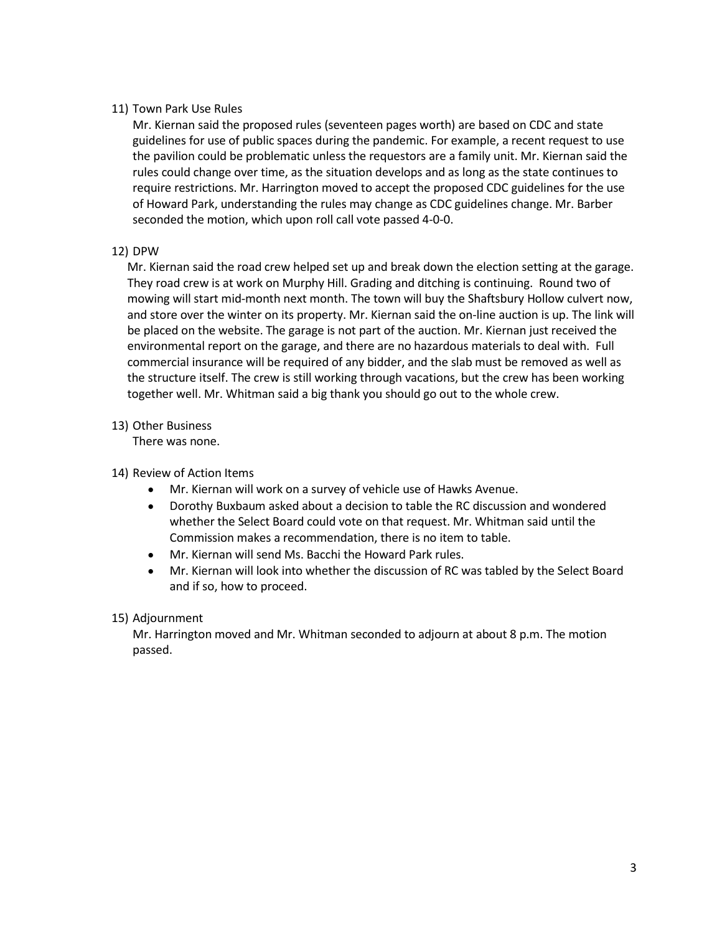# 11) Town Park Use Rules

Mr. Kiernan said the proposed rules (seventeen pages worth) are based on CDC and state guidelines for use of public spaces during the pandemic. For example, a recent request to use the pavilion could be problematic unless the requestors are a family unit. Mr. Kiernan said the rules could change over time, as the situation develops and as long as the state continues to require restrictions. Mr. Harrington moved to accept the proposed CDC guidelines for the use of Howard Park, understanding the rules may change as CDC guidelines change. Mr. Barber seconded the motion, which upon roll call vote passed 4-0-0.

# 12) DPW

Mr. Kiernan said the road crew helped set up and break down the election setting at the garage. They road crew is at work on Murphy Hill. Grading and ditching is continuing. Round two of mowing will start mid-month next month. The town will buy the Shaftsbury Hollow culvert now, and store over the winter on its property. Mr. Kiernan said the on-line auction is up. The link will be placed on the website. The garage is not part of the auction. Mr. Kiernan just received the environmental report on the garage, and there are no hazardous materials to deal with. Full commercial insurance will be required of any bidder, and the slab must be removed as well as the structure itself. The crew is still working through vacations, but the crew has been working together well. Mr. Whitman said a big thank you should go out to the whole crew.

## 13) Other Business

There was none.

# 14) Review of Action Items

- Mr. Kiernan will work on a survey of vehicle use of Hawks Avenue.
- Dorothy Buxbaum asked about a decision to table the RC discussion and wondered whether the Select Board could vote on that request. Mr. Whitman said until the Commission makes a recommendation, there is no item to table.
- Mr. Kiernan will send Ms. Bacchi the Howard Park rules.
- Mr. Kiernan will look into whether the discussion of RC was tabled by the Select Board and if so, how to proceed.

# 15) Adjournment

Mr. Harrington moved and Mr. Whitman seconded to adjourn at about 8 p.m. The motion passed.